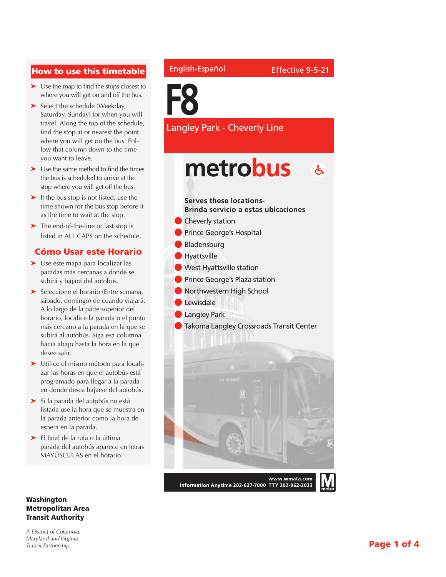### How to use this timetable

- ➤ Use the map to find the stops closest to where you will get on and off the bus.
- ➤ Select the schedule (Weekday, Saturday, Sunday) for when you will travel. Along the top of the schedule, find the stop at or nearest the point where you will get on the bus. Follow that column down to the time you want to leave.
- ➤ Use the same method to find the times the bus is scheduled to arrive at the stop where you will get off the bus.
- ➤ If the bus stop is not listed, use the time shown for the bus stop before it as the time to wait at the stop.
- ➤ The end-of-the-line or last stop is listed in ALL CAPS on the schedule.

### Cómo Usar este Horario

- ➤ Use este mapa para localizar las paradas más cercanas a donde se subirá y bajará del autobús.
- ➤ Seleccione el horario (Entre semana, sábado, domingo) de cuando viajará. A lo largo de la parte superior del horario, localice la parada o el punto más cercano a la parada en la que se subirá al autobús. Siga esa columna hacia abajo hasta la hora en la que desee salir.
- ➤ Utilice el mismo método para localizar las horas en que el autobús está programado para llegar a la parada en donde desea bajarse del autobús.
- ➤ Si la parada del autobús no está listada use la hora que se muestra en la parada anterior como la hora de espera en la parada.
- ➤ El final de la ruta o la última parada del autobús aparece en letras MAYÚSCULAS en el horario.

### Washington Metropolitan Area Transit Authority

*A District of Columbia, Maryland and Virginia Transit Partnership*

### English-Español



Langley Park - Cheverly Line

## metrobus  $\mathbf{A}$

**Serves these locations-Brinda servicio a estas ubicaciones**

- **Cheverly station**
- **Prince George's Hospital**
- **Bladensburg**
- **Hyattsville**
- l West Hyattsville station
- **Prince George's Plaza station**
- Northwestern High School
- **Lewisdale**
- l Langley Park
- Takoma Langley Crossroads Transit Center



Information Anytime 202-637-7000 TTY 202-962-2033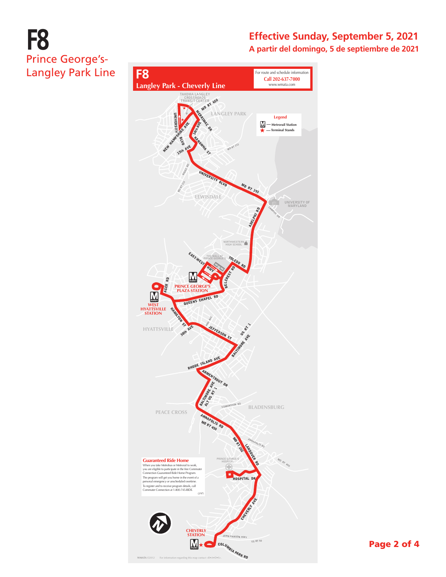# **F8** Prince George's-Langley Park Line

### **Effective Sunday, September 5, 2021 A partir del domingo, 5 de septiembre de 2021**

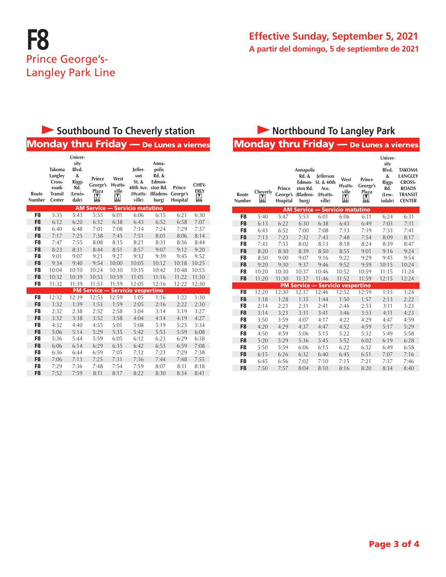

### **Effective Sunday, September 5, 2021 A partir del domingo, 5 de septiembre de 2021**

# **Southbound To Cheverly station Access 20 Northbound To Langley Park**

## Monday thru Friday — De Lunes a viernes Monday thru Friday — De Lunes a viernes

| Route<br>Number | <b>Takoma</b><br>Langley<br>Cross-<br>roads<br><b>Transit</b><br>Center | Univer-<br>sity<br>Blvd.<br>&<br><b>Riggs</b><br>Rd.<br>(Lewis-<br>dale) | Prince<br>George's<br>Plaza<br>M | West<br>Hyatts-<br>ville<br>M | leffer-<br>son<br>$St.$ &<br>40th Ave. ston Rd.<br>ville) | Anna-<br>polis<br><b>Rd. &amp;</b><br>Edmon-<br>(Hyatts- (Bladens- George's<br>burg) | Prince<br>Hospital | CHEV-<br><b>ERLY</b><br>M |
|-----------------|-------------------------------------------------------------------------|--------------------------------------------------------------------------|----------------------------------|-------------------------------|-----------------------------------------------------------|--------------------------------------------------------------------------------------|--------------------|---------------------------|
|                 |                                                                         |                                                                          | <b>AM Service --</b>             |                               | <b>Servicio matutino</b>                                  |                                                                                      |                    |                           |
| F <sub>8</sub>  | 5:35                                                                    | 5:43                                                                     | 5:55                             | 6:01                          | 6:06                                                      | 6:15                                                                                 | 6:21               | 6:30                      |
| F <sub>8</sub>  | 6:12                                                                    | 6:20                                                                     | 6:32                             | 6:38                          | 6:43                                                      | 6:52                                                                                 | 6:58               | 7:07                      |
| F8              | 6:40                                                                    | 6:48                                                                     | 7:01                             | 7:08                          | 7:14                                                      | 7:24                                                                                 | 7:29               | 7:37                      |
| F <sub>8</sub>  | 7:17                                                                    | 7:25                                                                     | 7:38                             | 7:45                          | 7:51                                                      | 8:01                                                                                 | 8:06               | 8:14                      |
| F8              | 7:47                                                                    | 7:55                                                                     | 8:08                             | 8:15                          | 8:21                                                      | 8:31                                                                                 | 8:36               | 8:44                      |
| F <sub>8</sub>  | 8:23                                                                    | 8:31                                                                     | 8:44                             | 8:51                          | 8:57                                                      | 9:07                                                                                 | 9:12               | 9:20                      |
| F <sub>8</sub>  | 9:01                                                                    | 9:07                                                                     | 9:21                             | 9:27                          | 9:32                                                      | 9:39                                                                                 | 9:45               | 9:52                      |
| F <sub>8</sub>  | 9:34                                                                    | 9:40                                                                     | 9:54                             | 10:00                         | 10:05                                                     | 10:12                                                                                | 10:18              | 10:25                     |
| F <sub>8</sub>  | 10:04                                                                   | 10:10                                                                    | 10:24                            | 10:30                         | 10:35                                                     | 10:42                                                                                | 10:48              | 10:55                     |
| F <sub>8</sub>  | 10:32                                                                   | 10:39                                                                    | 10:53                            | 10:59                         | 11:05                                                     | 11:16                                                                                | 11:22              | 11:30                     |
| F8              | 11:32                                                                   | 11:39                                                                    | 11:53                            | 11:59                         | 12:05                                                     | 12:16                                                                                | 12:22              | 12:30                     |
|                 |                                                                         |                                                                          | <b>PM Service -</b>              |                               | <b>Servicio vespertino</b>                                |                                                                                      |                    |                           |
| F8              | 12:32                                                                   | 12:39                                                                    | 12:53                            | 12:59                         | 1:05                                                      | 1:16                                                                                 | 1:22               | 1:30                      |
| F <sub>8</sub>  | 1:32                                                                    | 1:39                                                                     | 1:53                             | 1:59                          | 2:05                                                      | 2:16                                                                                 | 2:22               | 2:30                      |
| F8              | 2:32                                                                    | 2:38                                                                     | 2:52                             | 2:58                          | 3:04                                                      | 3:14                                                                                 | 3:19               | 3:27                      |
| F <sub>8</sub>  | 3:32                                                                    | 3:38                                                                     | 3:52                             | 3:58                          | 4:04                                                      | 4:14                                                                                 | 4:19               | 4:27                      |
| F <sub>8</sub>  | 4:32                                                                    | 4:40                                                                     | 4:55                             | 5:01                          | 5:08                                                      | 5:19                                                                                 | 5:25               | 5:34                      |
| F <sub>8</sub>  | 5:06                                                                    | 5:14                                                                     | 5:29                             | 5:35                          | 5:42                                                      | 5:53                                                                                 | 5:59               | 6:08                      |
| F8              | 5:36                                                                    | 5:44                                                                     | 5:59                             | 6:05                          | 6:12                                                      | 6:23                                                                                 | 6:29               | 6:38                      |
| F <sub>8</sub>  | 6:06                                                                    | 6:14                                                                     | 6:29                             | 6:35                          | 6:42                                                      | 6:53                                                                                 | 6:59               | 7:08                      |
| F8              | 6:36                                                                    | 6:44                                                                     | 6:59                             | 7:05                          | 7:12                                                      | 7:23                                                                                 | 7:29               | 7:38                      |
| F <sub>8</sub>  | 7:06                                                                    | 7:13                                                                     | 7:25                             | 7:31                          | 7:36                                                      | 7:44                                                                                 | 7:48               | 7:55                      |
| F8              | 7:29                                                                    | 7:36                                                                     | 7:48                             | 7:54                          | 7:59                                                      | 8:07                                                                                 | 8:11               | 8:18                      |
| F <sub>8</sub>  | 7:52                                                                    | 7:59                                                                     | 8:11                             | 8:17                          | 8:22                                                      | 8:30                                                                                 | 8:34               | 8:41                      |

| Route<br><b>Number</b> | Cheverly<br>M | Prince<br>George's<br>Hospital | <b>Annapolis</b><br>Rd. &<br>Edmon-<br>ston Rd.<br>(Bladens-<br>burg) | lefferson<br>St. & 40th<br>Ave.<br>(Hyatts-<br>ville) | West<br>Hyatts-<br>ville<br>M | Prince<br>George's<br>Plaza<br>M | Univer-<br>sity<br>Blvd.<br>&<br><b>Riggs</b><br>Rd.<br>(Lew-<br>isdale) | <b>TAKOMA</b><br><b>LANGLEY</b><br><b>CROSS-</b><br><b>ROADS</b><br><b>TRANSIT</b><br><b>CENTER</b> |
|------------------------|---------------|--------------------------------|-----------------------------------------------------------------------|-------------------------------------------------------|-------------------------------|----------------------------------|--------------------------------------------------------------------------|-----------------------------------------------------------------------------------------------------|
|                        |               |                                |                                                                       | <b>AM Service - Servicio matutino</b>                 |                               |                                  |                                                                          |                                                                                                     |
| F8                     | 5:40          | 5:47                           | 5:53                                                                  | 6:01                                                  | 6:06                          | 6:11                             | 6:24                                                                     | 6:31                                                                                                |
| F <sub>8</sub>         | 6:13          | 6:22                           | 6:30                                                                  | 6:38                                                  | 6:43                          | 6:49                             | 7:03                                                                     | 7:11                                                                                                |
| F <sub>8</sub>         | 6:43          | 6:52                           | 7:00                                                                  | 7:08                                                  | 7:13                          | 7:19                             | 7:33                                                                     | 7:41                                                                                                |
| F <sub>8</sub>         | 7:13          | 7:23                           | 7:32                                                                  | 7:43                                                  | 7:48                          | 7:54                             | 8:09                                                                     | 8:17                                                                                                |
| F8                     | 7:43          | 7:53                           | 8:02                                                                  | 8:13                                                  | 8:18                          | 8:24                             | 8:39                                                                     | 8:47                                                                                                |
| F <sub>8</sub>         | 8:20          | 8:30                           | 8:39                                                                  | 8:50                                                  | 8:55                          | 9:01                             | 9:16                                                                     | 9:24                                                                                                |
| F <sub>8</sub>         | 8:50          | 9:00                           | 9:07                                                                  | 9:16                                                  | 9:22                          | 9:29                             | 9:45                                                                     | 9:54                                                                                                |
| F <sub>8</sub>         | 9:20          | 9:30                           | 9:37                                                                  | 9:46                                                  | 9:52                          | 9:59                             | 10:15                                                                    | 10:24                                                                                               |
| F8                     | 10:20         | 10:30                          | 10:37                                                                 | 10:46                                                 | 10:52                         | 10:59                            | 11:15                                                                    | 11:24                                                                                               |
| F <sub>8</sub>         | 11:20         | 11:30                          | 11:37                                                                 | 11:46                                                 | 11:52                         | 11:59                            | 12:15                                                                    | 12:24                                                                                               |
|                        |               |                                |                                                                       | <b>PM Service - Servicio vespertino</b>               |                               |                                  |                                                                          |                                                                                                     |
| F <sub>8</sub>         | 12:20         | 12:30                          | 12:37                                                                 | 12:46                                                 | 12:52                         | 12:59                            | 1:15                                                                     | 1:24                                                                                                |
| F <sub>8</sub>         | 1:18          | 1:28                           | 1:35                                                                  | 1:44                                                  | 1:50                          | 1:57                             | 2:13                                                                     | 2:22                                                                                                |
| F <sub>8</sub>         | 2:14          | 2:23                           | 2:31                                                                  | 2:41                                                  | 2:46                          | 2:53                             | 3:11                                                                     | 3:23                                                                                                |
| F <sub>8</sub>         | 3:14          | 3:23                           | 3:31                                                                  | 3:41                                                  | 3:46                          | 3:53                             | 4:11                                                                     | 4:23                                                                                                |
| F8                     | 3:50          | 3:59                           | 4:07                                                                  | 4:17                                                  | 4:22                          | 4:29                             | 4:47                                                                     | 4:59                                                                                                |
| F <sub>8</sub>         | 4:20          | 4:29                           | 4:37                                                                  | 4:47                                                  | 4:52                          | 4:59                             | 5:17                                                                     | 5:29                                                                                                |
| F <sub>8</sub>         | 4:50          | 4:59                           | 5:06                                                                  | 5:15                                                  | 5:22                          | 5:32                             | 5:49                                                                     | 5:58                                                                                                |
| F <sub>8</sub>         | 5:20          | 5:29                           | 5:36                                                                  | 5:45                                                  | 5:52                          | 6:02                             | 6:19                                                                     | 6:28                                                                                                |
| F8                     | 5:50          | 5:59                           | 6:06                                                                  | 6:15                                                  | 6:22                          | 6:32                             | 6:49                                                                     | 6:58                                                                                                |
| F <sub>8</sub>         | 6:15          | 6:26                           | 6:32                                                                  | 6:40                                                  | 6:45                          | 6:51                             | 7:07                                                                     | 7:16                                                                                                |
| F8                     | 6:45          | 6:56                           | 7:02                                                                  | 7:10                                                  | 7:15                          | 7:21                             | 7:37                                                                     | 7:46                                                                                                |
| F <sub>8</sub>         | 7:50          | 7:57                           | 8:04                                                                  | 8:10                                                  | 8:16                          | 8:20                             | 8:34                                                                     | 8:40                                                                                                |